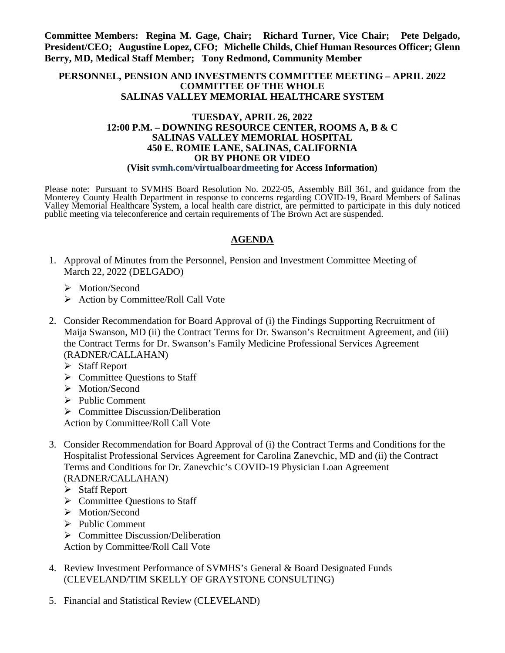**Committee Members: Regina M. Gage, Chair; Richard Turner, Vice Chair; Pete Delgado, President/CEO; Augustine Lopez, CFO; Michelle Childs, Chief Human Resources Officer; Glenn Berry, MD, Medical Staff Member; Tony Redmond, Community Member**

## **PERSONNEL, PENSION AND INVESTMENTS COMMITTEE MEETING – APRIL 2022 COMMITTEE OF THE WHOLE SALINAS VALLEY MEMORIAL HEALTHCARE SYSTEM**

## **TUESDAY, APRIL 26, 2022 12:00 P.M. – DOWNING RESOURCE CENTER, ROOMS A, B & C SALINAS VALLEY MEMORIAL HOSPITAL 450 E. ROMIE LANE, SALINAS, CALIFORNIA OR BY PHONE OR VIDEO (Visit svmh.com/virtualboardmeeting for Access Information)**

Please note: Pursuant to SVMHS Board Resolution No. 2022-05, Assembly Bill 361, and guidance from the Monterey County Health Department in response to concerns regarding COVID-19, Board Members of Salinas Valley Memorial Healthcare System, a local health care district, are permitted to participate in this duly noticed public meeting via teleconference and certain requirements of The Brown Act are suspended.

## **AGENDA**

- 1. Approval of Minutes from the Personnel, Pension and Investment Committee Meeting of March 22, 2022 (DELGADO)
	- > Motion/Second
	- $\triangleright$  Action by Committee/Roll Call Vote
- 2. Consider Recommendation for Board Approval of (i) the Findings Supporting Recruitment of Maija Swanson, MD (ii) the Contract Terms for Dr. Swanson's Recruitment Agreement, and (iii) the Contract Terms for Dr. Swanson's Family Medicine Professional Services Agreement (RADNER/CALLAHAN)
	- $\triangleright$  Staff Report
	- $\triangleright$  Committee Ouestions to Staff
	- > Motion/Second
	- $\triangleright$  Public Comment
	- $\triangleright$  Committee Discussion/Deliberation

Action by Committee/Roll Call Vote

- 3. Consider Recommendation for Board Approval of (i) the Contract Terms and Conditions for the Hospitalist Professional Services Agreement for Carolina Zanevchic, MD and (ii) the Contract Terms and Conditions for Dr. Zanevchic's COVID-19 Physician Loan Agreement (RADNER/CALLAHAN)
	- $\triangleright$  Staff Report
	- $\triangleright$  Committee Questions to Staff
	- > Motion/Second
	- $\triangleright$  Public Comment
	- $\triangleright$  Committee Discussion/Deliberation
	- Action by Committee/Roll Call Vote
- 4. Review Investment Performance of SVMHS's General & Board Designated Funds (CLEVELAND/TIM SKELLY OF GRAYSTONE CONSULTING)
- 5. Financial and Statistical Review (CLEVELAND)